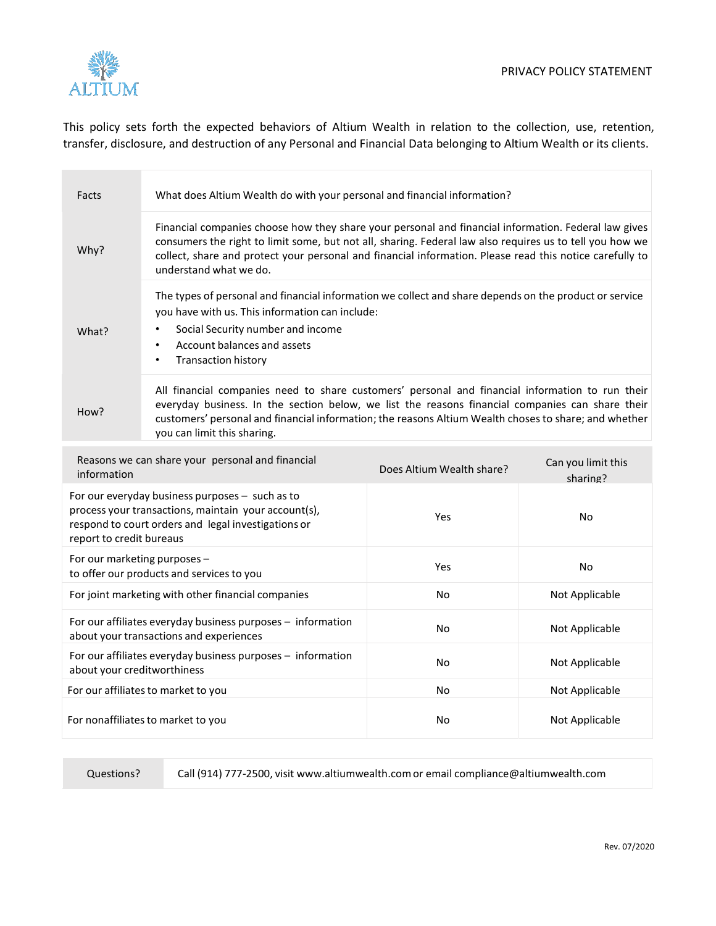

This policy sets forth the expected behaviors of Altium Wealth in relation to the collection, use, retention, transfer, disclosure, and destruction of any Personal and Financial Data belonging to Altium Wealth or its clients.

| Facts                                                                                                                                                                                      | What does Altium Wealth do with your personal and financial information?                                                                                                                                                                                                                                                                               |                           |                                |  |  |
|--------------------------------------------------------------------------------------------------------------------------------------------------------------------------------------------|--------------------------------------------------------------------------------------------------------------------------------------------------------------------------------------------------------------------------------------------------------------------------------------------------------------------------------------------------------|---------------------------|--------------------------------|--|--|
| Why?                                                                                                                                                                                       | Financial companies choose how they share your personal and financial information. Federal law gives<br>consumers the right to limit some, but not all, sharing. Federal law also requires us to tell you how we<br>collect, share and protect your personal and financial information. Please read this notice carefully to<br>understand what we do. |                           |                                |  |  |
| What?                                                                                                                                                                                      | The types of personal and financial information we collect and share depends on the product or service<br>you have with us. This information can include:<br>Social Security number and income<br>Account balances and assets<br>$\bullet$<br><b>Transaction history</b><br>$\bullet$                                                                  |                           |                                |  |  |
| How?                                                                                                                                                                                       | All financial companies need to share customers' personal and financial information to run their<br>everyday business. In the section below, we list the reasons financial companies can share their<br>customers' personal and financial information; the reasons Altium Wealth choses to share; and whether<br>you can limit this sharing.           |                           |                                |  |  |
| Reasons we can share your personal and financial<br>information                                                                                                                            |                                                                                                                                                                                                                                                                                                                                                        | Does Altium Wealth share? | Can you limit this<br>sharing? |  |  |
| For our everyday business purposes - such as to<br>process your transactions, maintain your account(s),<br>respond to court orders and legal investigations or<br>report to credit bureaus |                                                                                                                                                                                                                                                                                                                                                        | Yes                       | No                             |  |  |
| For our marketing purposes -<br>to offer our products and services to you                                                                                                                  |                                                                                                                                                                                                                                                                                                                                                        | Yes                       | No                             |  |  |
| For joint marketing with other financial companies                                                                                                                                         |                                                                                                                                                                                                                                                                                                                                                        | No                        | Not Applicable                 |  |  |
| For our affiliates everyday business purposes - information<br>about your transactions and experiences                                                                                     |                                                                                                                                                                                                                                                                                                                                                        | No                        | Not Applicable                 |  |  |
| For our affiliates everyday business purposes - information<br>about your creditworthiness                                                                                                 |                                                                                                                                                                                                                                                                                                                                                        | No                        | Not Applicable                 |  |  |
| For our affiliates to market to you                                                                                                                                                        |                                                                                                                                                                                                                                                                                                                                                        | No                        | Not Applicable                 |  |  |
| For nonaffiliates to market to you                                                                                                                                                         |                                                                                                                                                                                                                                                                                                                                                        | No                        | Not Applicable                 |  |  |

Questions? Call (914) 777-2500, visit www.altiumwealth.com or email compliance@altiumwealth.com